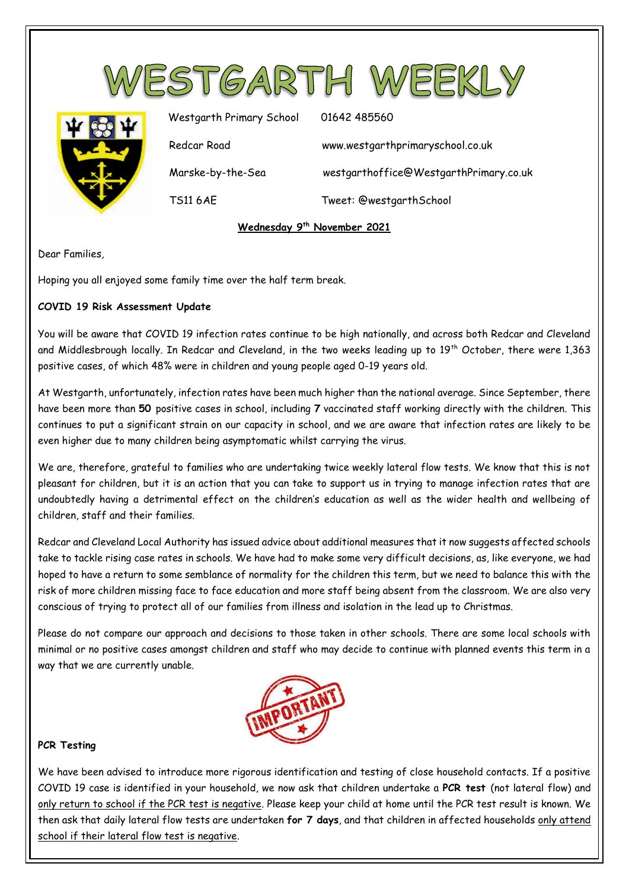

TS11 6AE Tweet: @westgarthSchool

# **Wednesday 9th November 2021**

Dear Families,

Hoping you all enjoyed some family time over the half term break.

# **COVID 19 Risk Assessment Update**

You will be aware that COVID 19 infection rates continue to be high nationally, and across both Redcar and Cleveland and Middlesbrough locally. In Redcar and Cleveland, in the two weeks leading up to 19<sup>th</sup> October, there were 1,363 positive cases, of which 48% were in children and young people aged 0-19 years old.

At Westgarth, unfortunately, infection rates have been much higher than the national average. Since September, there have been more than **50** positive cases in school, including **7** vaccinated staff working directly with the children. This continues to put a significant strain on our capacity in school, and we are aware that infection rates are likely to be even higher due to many children being asymptomatic whilst carrying the virus.

We are, therefore, grateful to families who are undertaking twice weekly lateral flow tests. We know that this is not pleasant for children, but it is an action that you can take to support us in trying to manage infection rates that are undoubtedly having a detrimental effect on the children's education as well as the wider health and wellbeing of children, staff and their families.

Redcar and Cleveland Local Authority has issued advice about additional measures that it now suggests affected schools take to tackle rising case rates in schools. We have had to make some very difficult decisions, as, like everyone, we had hoped to have a return to some semblance of normality for the children this term, but we need to balance this with the risk of more children missing face to face education and more staff being absent from the classroom. We are also very conscious of trying to protect all of our families from illness and isolation in the lead up to Christmas.

Please do not compare our approach and decisions to those taken in other schools. There are some local schools with minimal or no positive cases amongst children and staff who may decide to continue with planned events this term in a way that we are currently unable.



### **PCR Testing**

We have been advised to introduce more rigorous identification and testing of close household contacts. If a positive COVID 19 case is identified in your household, we now ask that children undertake a **PCR test** (not lateral flow) and only return to school if the PCR test is negative. Please keep your child at home until the PCR test result is known. We then ask that daily lateral flow tests are undertaken **for 7 days**, and that children in affected households only attend school if their lateral flow test is negative.